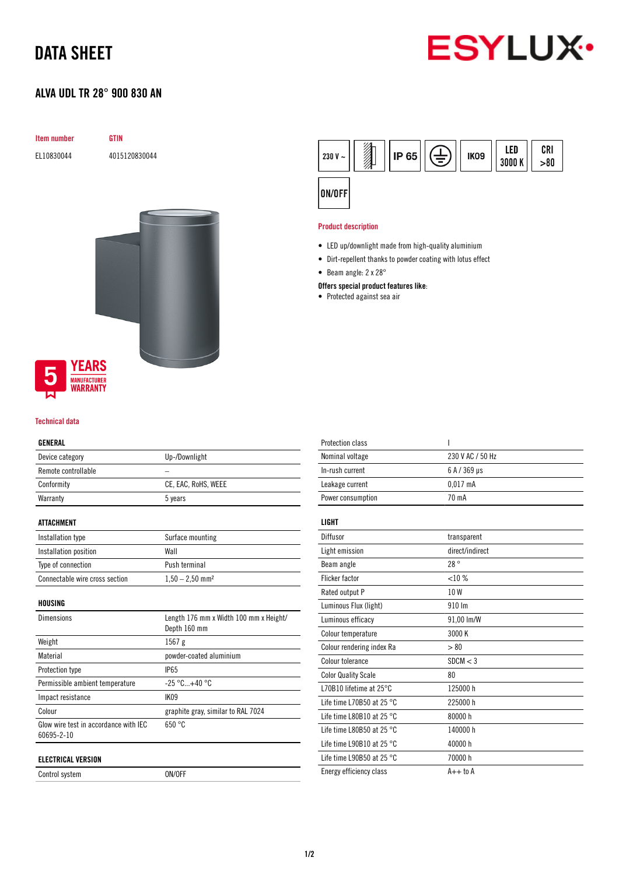## DATA SHEET

### ALVA UDL TR 28° 900 830 AN



# Item number GTIN EL10830044 4015120830044



#### Technical data

#### GENERAL

| Device category     | Up-/Downlight       |  |
|---------------------|---------------------|--|
| Remote controllable |                     |  |
| Conformity          | CE, EAC, RoHS, WEEE |  |
| Warranty            | 5 years             |  |

#### ATTACHMENT

| Installation type              | Surface mounting              |
|--------------------------------|-------------------------------|
| Installation position          | Wall                          |
| Type of connection             | Push terminal                 |
| Connectable wire cross section | $1,50 - 2,50$ mm <sup>2</sup> |

HOUSING

| <b>Dimensions</b>                                   | Length 176 mm x Width 100 mm x Height/<br>Depth 160 mm |
|-----------------------------------------------------|--------------------------------------------------------|
| Weight                                              | $1567$ g                                               |
| Material                                            | powder-coated aluminium                                |
| Protection type                                     | <b>IP65</b>                                            |
| Permissible ambient temperature                     | $-25 °C+40 °C$                                         |
| Impact resistance                                   | <b>IK09</b>                                            |
| Colour                                              | graphite gray, similar to RAL 7024                     |
| Glow wire test in accordance with IEC<br>60695-2-10 | 650 °C                                                 |
| <b>ELECTRICAL VERSION</b>                           |                                                        |

Control system ON/OFF



#### Product description

- LED up/downlight made from high-quality aluminium
- Dirt-repellent thanks to powder coating with lotus effect
- Beam angle: 2 x 28°

#### Offers special product features like:

• Protected against sea air

| <b>Protection class</b>             | ı                |
|-------------------------------------|------------------|
| Nominal voltage                     | 230 V AC / 50 Hz |
| In-rush current                     | 6 A / 369 µs     |
| Leakage current                     | $0.017$ mA       |
| Power consumption                   | 70 mA            |
| LIGHT                               |                  |
|                                     |                  |
| Diffusor                            | transparent      |
| Light emission                      | direct/indirect  |
| Beam angle                          | 28°              |
| <b>Flicker factor</b>               | <10%             |
| Rated output P                      | 10W              |
| Luminous Flux (light)               | 910 Im           |
| Luminous efficacy                   | 91,00 lm/W       |
| Colour temperature                  | 3000 K           |
| Colour rendering index Ra           | > 80             |
| Colour tolerance                    | SDCM < 3         |
| <b>Color Quality Scale</b>          | 80               |
| L70B10 lifetime at 25°C             | 125000 h         |
| Life time L70B50 at 25 $^{\circ}$ C | 225000 h         |
| Life time L80B10 at 25 $^{\circ}$ C | 80000 h          |
| Life time L80B50 at 25 $^{\circ}$ C | 140000 h         |
| Life time L90B10 at 25 $^{\circ}$ C | 40000 h          |
| Life time L90B50 at 25 $^{\circ}$ C | 70000 h          |
| Energy efficiency class             | $A++$ to $A$     |
|                                     |                  |